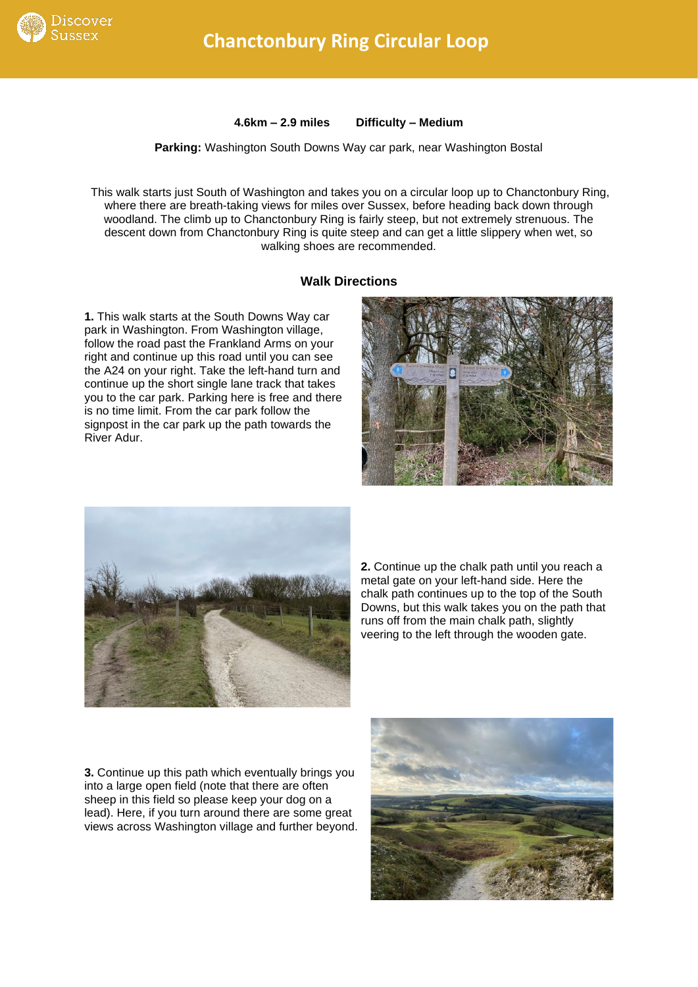

**4.6km – 2.9 miles Difficulty – Medium**

**Parking:** Washington South Downs Way car park, near Washington Bostal

This walk starts just South of Washington and takes you on a circular loop up to Chanctonbury Ring, where there are breath-taking views for miles over Sussex, before heading back down through woodland. The climb up to Chanctonbury Ring is fairly steep, but not extremely strenuous. The descent down from Chanctonbury Ring is quite steep and can get a little slippery when wet, so walking shoes are recommended.

## **Walk Directions**

**1.** This walk starts at the South Downs Way car park in Washington. From Washington village, follow the road past the Frankland Arms on your right and continue up this road until you can see the A24 on your right. Take the left-hand turn and continue up the short single lane track that takes you to the car park. Parking here is free and there is no time limit. From the car park follow the signpost in the car park up the path towards the River Adur.





**2.** Continue up the chalk path until you reach a metal gate on your left-hand side. Here the chalk path continues up to the top of the South Downs, but this walk takes you on the path that runs off from the main chalk path, slightly veering to the left through the wooden gate.

**3.** Continue up this path which eventually brings you into a large open field (note that there are often sheep in this field so please keep your dog on a lead). Here, if you turn around there are some great views across Washington village and further beyond.